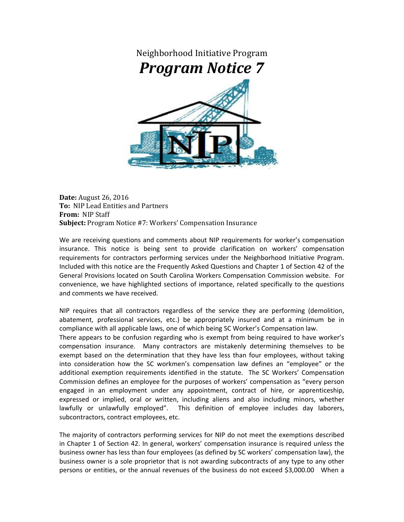

**Date:** August 26, 2016 **To:** NIP Lead Entities and Partners **From:** NIP Staff **Subject:** Program Notice #7: Workers' Compensation Insurance

We are receiving questions and comments about NIP requirements for worker's compensation insurance. This notice is being sent to provide clarification on workers' compensation requirements for contractors performing services under the Neighborhood Initiative Program. Included with this notice are the Frequently Asked Questions and Chapter 1 of Section 42 of the General Provisions located on South Carolina Workers Compensation Commission website. For convenience, we have highlighted sections of importance, related specifically to the questions and comments we have received.

NIP requires that all contractors regardless of the service they are performing (demolition, abatement, professional services, etc.) be appropriately insured and at a minimum be in compliance with all applicable laws, one of which being SC Worker's Compensation law. There appears to be confusion regarding who is exempt from being required to have worker's

compensation insurance. Many contractors are mistakenly determining themselves to be exempt based on the determination that they have less than four employees, without taking into consideration how the SC workmen's compensation law defines an "employee" or the additional exemption requirements identified in the statute. The SC Workers' Compensation Commission defines an employee for the purposes of workers' compensation as "every person engaged in an employment under any appointment, contract of hire, or apprenticeship, expressed or implied, oral or written, including aliens and also including minors, whether lawfully or unlawfully employed". This definition of employee includes day laborers, subcontractors, contract employees, etc.

The majority of contractors performing services for NIP do not meet the exemptions described in Chapter 1 of Section 42. In general, workers' compensation insurance is required unless the business owner has less than four employees (as defined by SC workers' compensation law), the business owner is a sole proprietor that is not awarding subcontracts of any type to any other persons or entities, or the annual revenues of the business do not exceed \$3,000.00 When a